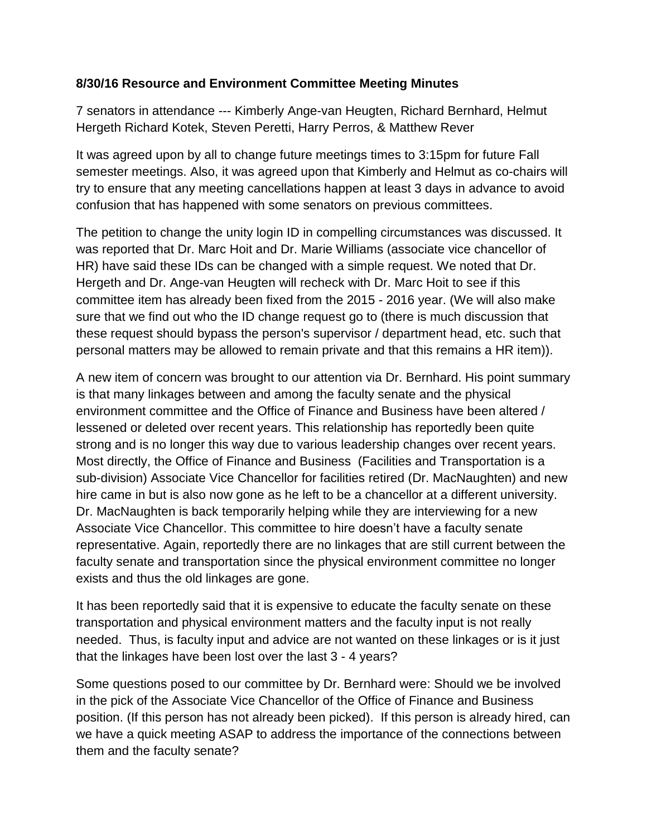## **8/30/16 Resource and Environment Committee Meeting Minutes**

7 senators in attendance --- Kimberly Ange-van Heugten, Richard Bernhard, Helmut Hergeth Richard Kotek, Steven Peretti, Harry Perros, & Matthew Rever

It was agreed upon by all to change future meetings times to 3:15pm for future Fall semester meetings. Also, it was agreed upon that Kimberly and Helmut as co-chairs will try to ensure that any meeting cancellations happen at least 3 days in advance to avoid confusion that has happened with some senators on previous committees.

The petition to change the unity login ID in compelling circumstances was discussed. It was reported that Dr. Marc Hoit and Dr. Marie Williams (associate vice chancellor of HR) have said these IDs can be changed with a simple request. We noted that Dr. Hergeth and Dr. Ange-van Heugten will recheck with Dr. Marc Hoit to see if this committee item has already been fixed from the 2015 - 2016 year. (We will also make sure that we find out who the ID change request go to (there is much discussion that these request should bypass the person's supervisor / department head, etc. such that personal matters may be allowed to remain private and that this remains a HR item)).

A new item of concern was brought to our attention via Dr. Bernhard. His point summary is that many linkages between and among the faculty senate and the physical environment committee and the Office of Finance and Business have been altered / lessened or deleted over recent years. This relationship has reportedly been quite strong and is no longer this way due to various leadership changes over recent years. Most directly, the Office of Finance and Business (Facilities and Transportation is a sub-division) Associate Vice Chancellor for facilities retired (Dr. MacNaughten) and new hire came in but is also now gone as he left to be a chancellor at a different university. Dr. MacNaughten is back temporarily helping while they are interviewing for a new Associate Vice Chancellor. This committee to hire doesn't have a faculty senate representative. Again, reportedly there are no linkages that are still current between the faculty senate and transportation since the physical environment committee no longer exists and thus the old linkages are gone.

It has been reportedly said that it is expensive to educate the faculty senate on these transportation and physical environment matters and the faculty input is not really needed. Thus, is faculty input and advice are not wanted on these linkages or is it just that the linkages have been lost over the last 3 - 4 years?

Some questions posed to our committee by Dr. Bernhard were: Should we be involved in the pick of the Associate Vice Chancellor of the Office of Finance and Business position. (If this person has not already been picked). If this person is already hired, can we have a quick meeting ASAP to address the importance of the connections between them and the faculty senate?